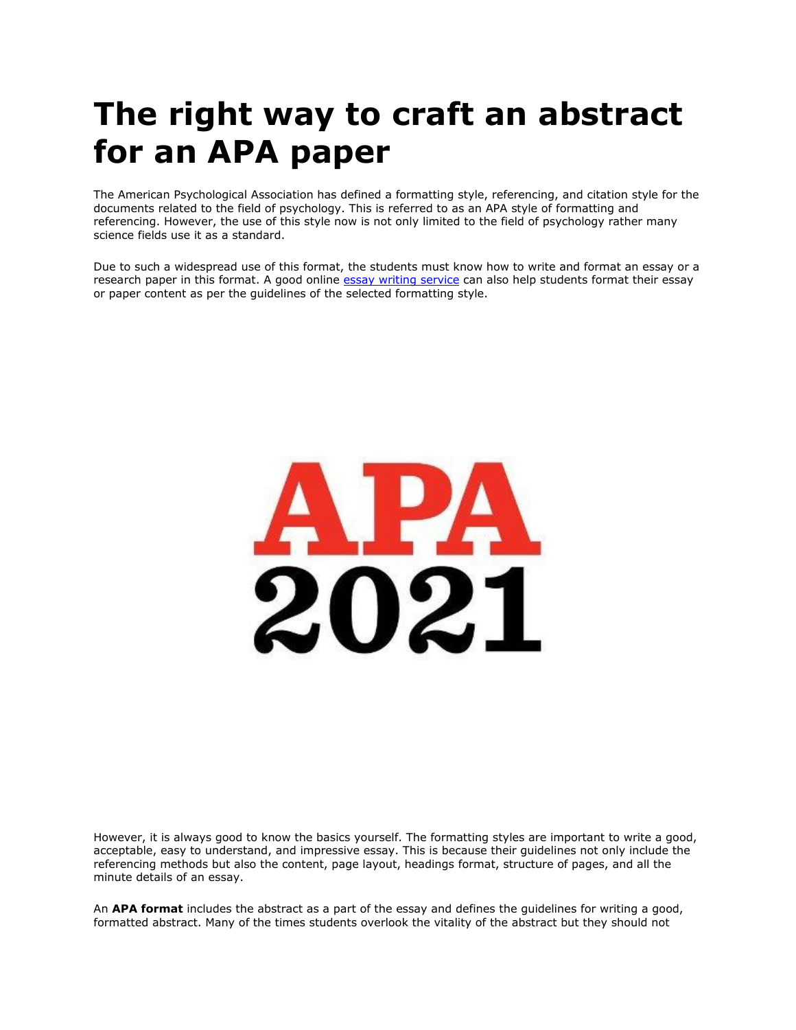# **The right way to craft an abstract for an APA paper**

The American Psychological Association has defined a formatting style, referencing, and citation style for the documents related to the field of psychology. This is referred to as an APA style of formatting and referencing. However, the use of this style now is not only limited to the field of psychology rather many science fields use it as a standard.

Due to such a widespread use of this format, the students must know how to write and format an essay or a research paper in this format. A good online [essay writing service](https://www.myperfectwords.com/) can also help students format their essay or paper content as per the guidelines of the selected formatting style.



However, it is always good to know the basics yourself. The formatting styles are important to write a good, acceptable, easy to understand, and impressive essay. This is because their guidelines not only include the referencing methods but also the content, page layout, headings format, structure of pages, and all the minute details of an essay.

An **APA format** includes the abstract as a part of the essay and defines the guidelines for writing a good, formatted abstract. Many of the times students overlook the vitality of the abstract but they should not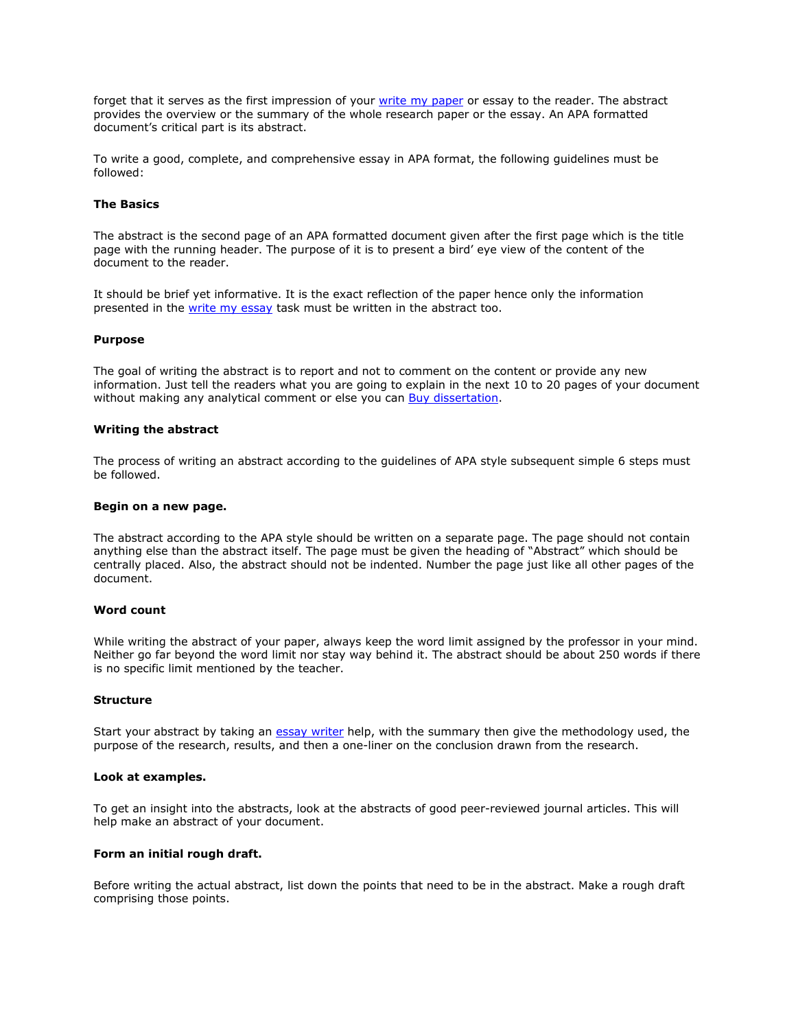forget that it serves as the first impression of your [write my paper](https://www.myperfectpaper.net/) or essay to the reader. The abstract provides the overview or the summary of the whole research paper or the essay. An APA formatted document's critical part is its abstract.

To write a good, complete, and comprehensive essay in APA format, the following guidelines must be followed:

## **The Basics**

The abstract is the second page of an APA formatted document given after the first page which is the title page with the running header. The purpose of it is to present a bird' eye view of the content of the document to the reader.

It should be brief yet informative. It is the exact reflection of the paper hence only the information presented in the [write my essay](https://www.writemyessay.help/) task must be written in the abstract too.

## **Purpose**

The goal of writing the abstract is to report and not to comment on the content or provide any new information. Just tell the readers what you are going to explain in the next 10 to 20 pages of your document without making any analytical comment or else you can [Buy dissertation.](https://www.gradschoolgenius.com/buy-dissertation)

## **Writing the abstract**

The process of writing an abstract according to the guidelines of APA style subsequent simple 6 steps must be followed.

# **Begin on a new page.**

The abstract according to the APA style should be written on a separate page. The page should not contain anything else than the abstract itself. The page must be given the heading of "Abstract" which should be centrally placed. Also, the abstract should not be indented. Number the page just like all other pages of the document.

#### **Word count**

While writing the abstract of your paper, always keep the word limit assigned by the professor in your mind. Neither go far beyond the word limit nor stay way behind it. The abstract should be about 250 words if there is no specific limit mentioned by the teacher.

#### **Structure**

Start your abstract by taking an [essay writer](https://www.essaywriter.college/) help, with the summary then give the methodology used, the purpose of the research, results, and then a one-liner on the conclusion drawn from the research.

#### **Look at examples.**

To get an insight into the abstracts, look at the abstracts of good peer-reviewed journal articles. This will help make an abstract of your document.

### **Form an initial rough draft.**

Before writing the actual abstract, list down the points that need to be in the abstract. Make a rough draft comprising those points.